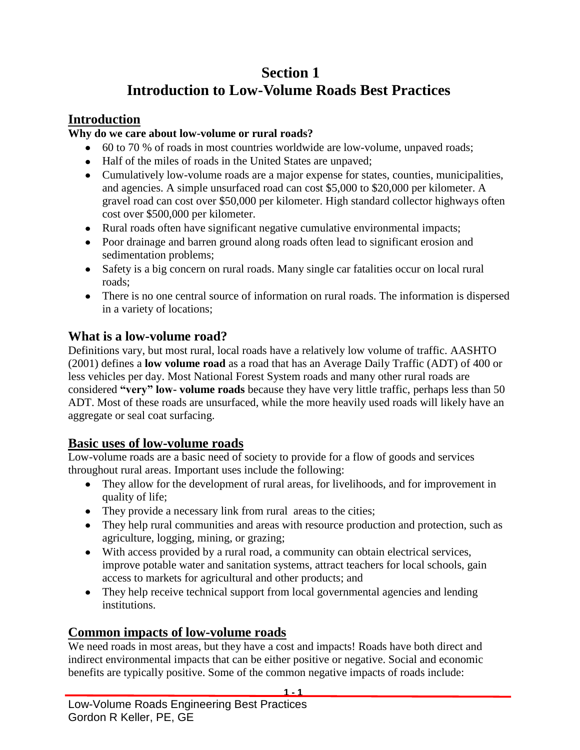# **Section 1 Introduction to Low-Volume Roads Best Practices**

### **Introduction**

### **Why do we care about low-volume or rural roads?**

- 60 to 70 % of roads in most countries worldwide are low-volume, unpaved roads;
- Half of the miles of roads in the United States are unpaved;
- Cumulatively low-volume roads are a major expense for states, counties, municipalities, and agencies. A simple unsurfaced road can cost \$5,000 to \$20,000 per kilometer. A gravel road can cost over \$50,000 per kilometer. High standard collector highways often cost over \$500,000 per kilometer.
- Rural roads often have significant negative cumulative environmental impacts;
- Poor drainage and barren ground along roads often lead to significant erosion and sedimentation problems;
- Safety is a big concern on rural roads. Many single car fatalities occur on local rural roads;
- There is no one central source of information on rural roads. The information is dispersed in a variety of locations;

### **What is a low-volume road?**

Definitions vary, but most rural, local roads have a relatively low volume of traffic. AASHTO (2001) defines a **low volume road** as a road that has an Average Daily Traffic (ADT) of 400 or less vehicles per day. Most National Forest System roads and many other rural roads are considered **"very" low- volume roads** because they have very little traffic, perhaps less than 50 ADT. Most of these roads are unsurfaced, while the more heavily used roads will likely have an aggregate or seal coat surfacing.

# **Basic uses of low-volume roads**

Low-volume roads are a basic need of society to provide for a flow of goods and services throughout rural areas. Important uses include the following:

- They allow for the development of rural areas, for livelihoods, and for improvement in quality of life;
- They provide a necessary link from rural areas to the cities;
- They help rural communities and areas with resource production and protection, such as agriculture, logging, mining, or grazing;
- With access provided by a rural road, a community can obtain electrical services, improve potable water and sanitation systems, attract teachers for local schools, gain access to markets for agricultural and other products; and
- They help receive technical support from local governmental agencies and lending institutions.

# **Common impacts of low-volume roads**

We need roads in most areas, but they have a cost and impacts! Roads have both direct and indirect environmental impacts that can be either positive or negative. Social and economic benefits are typically positive. Some of the common negative impacts of roads include:

**1 - 1**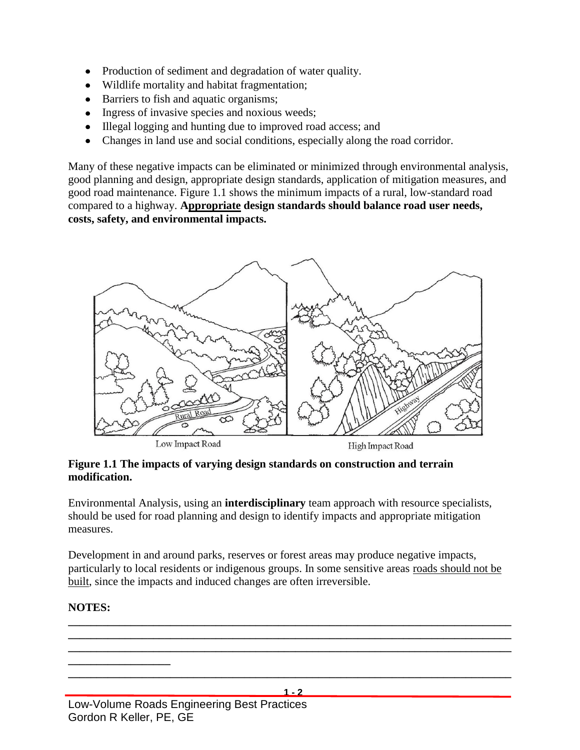- Production of sediment and degradation of water quality.
- Wildlife mortality and habitat fragmentation;
- Barriers to fish and aquatic organisms;
- Ingress of invasive species and noxious weeds;
- Illegal logging and hunting due to improved road access; and
- Changes in land use and social conditions, especially along the road corridor.

Many of these negative impacts can be eliminated or minimized through environmental analysis, good planning and design, appropriate design standards, application of mitigation measures, and good road maintenance. Figure 1.1 shows the minimum impacts of a rural, low-standard road compared to a highway. **Appropriate design standards should balance road user needs, costs, safety, and environmental impacts.**



#### **Figure 1.1 The impacts of varying design standards on construction and terrain modification.**

Environmental Analysis, using an **interdisciplinary** team approach with resource specialists, should be used for road planning and design to identify impacts and appropriate mitigation measures.

Development in and around parks, reserves or forest areas may produce negative impacts, particularly to local residents or indigenous groups. In some sensitive areas roads should not be built, since the impacts and induced changes are often irreversible.

### **NOTES:**

Low-Volume Roads Engineering Best Practices Gordon R Keller, PE, GE **1 - 2 \_\_\_\_\_\_\_\_\_\_\_\_\_\_\_\_\_\_\_\_\_\_\_\_\_\_\_\_\_\_\_\_\_\_\_\_\_\_\_\_\_\_\_\_\_\_\_\_\_\_\_\_\_\_\_\_\_\_\_\_\_\_\_\_\_\_\_\_\_\_\_\_\_\_\_\_\_\_ \_\_\_\_\_\_\_\_\_\_\_\_\_\_\_\_\_\_\_\_\_\_\_\_\_\_\_\_\_\_\_\_\_\_\_\_\_\_\_\_\_\_\_\_\_\_\_\_\_\_\_\_\_\_\_\_\_\_\_\_\_\_\_\_\_\_\_\_\_\_\_\_\_\_\_\_\_\_ \_\_\_\_\_\_\_\_\_\_\_\_\_\_\_\_\_\_\_\_\_\_\_\_\_\_\_\_\_\_\_\_\_\_\_\_\_\_\_\_\_\_\_\_\_\_\_\_\_\_\_\_\_\_\_\_\_\_\_\_\_\_\_\_\_\_\_\_\_\_\_\_\_\_\_\_\_\_ \_\_\_\_\_\_\_\_\_\_\_\_\_\_\_\_\_\_ \_\_\_\_\_\_\_\_\_\_\_\_\_\_\_\_\_\_\_\_\_\_\_\_\_\_\_\_\_\_\_\_\_\_\_\_\_\_\_\_\_\_\_\_\_\_\_\_\_\_\_\_\_\_\_\_\_\_\_\_\_\_\_\_\_\_\_\_\_\_\_\_\_\_\_\_\_\_**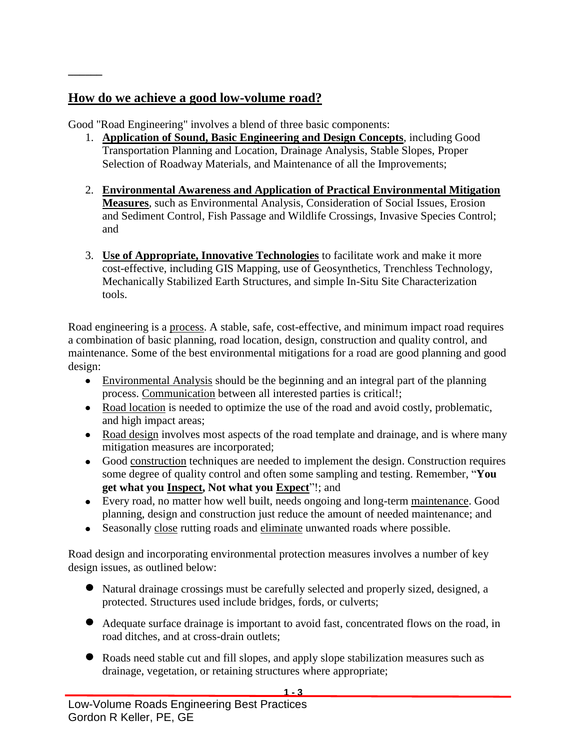# **How do we achieve a good low-volume road?**

**\_\_\_\_\_\_**

Good "Road Engineering" involves a blend of three basic components:

- 1. **Application of Sound, Basic Engineering and Design Concepts**, including Good Transportation Planning and Location, Drainage Analysis, Stable Slopes, Proper Selection of Roadway Materials, and Maintenance of all the Improvements;
- 2. **Environmental Awareness and Application of Practical Environmental Mitigation Measures**, such as Environmental Analysis, Consideration of Social Issues, Erosion and Sediment Control, Fish Passage and Wildlife Crossings, Invasive Species Control; and
- 3. **Use of Appropriate, Innovative Technologies** to facilitate work and make it more cost-effective, including GIS Mapping, use of Geosynthetics, Trenchless Technology, Mechanically Stabilized Earth Structures, and simple In-Situ Site Characterization tools.

Road engineering is a process. A stable, safe, cost-effective, and minimum impact road requires a combination of basic planning, road location, design, construction and quality control, and maintenance. Some of the best environmental mitigations for a road are good planning and good design:

- Environmental Analysis should be the beginning and an integral part of the planning process. Communication between all interested parties is critical!;
- Road location is needed to optimize the use of the road and avoid costly, problematic, and high impact areas;
- Road design involves most aspects of the road template and drainage, and is where many mitigation measures are incorporated;
- Good construction techniques are needed to implement the design. Construction requires some degree of quality control and often some sampling and testing. Remember, "**You get what you Inspect, Not what you Expect**"!; and
- Every road, no matter how well built, needs ongoing and long-term maintenance. Good planning, design and construction just reduce the amount of needed maintenance; and
- Seasonally close rutting roads and eliminate unwanted roads where possible.

Road design and incorporating environmental protection measures involves a number of key design issues, as outlined below:

- Natural drainage crossings must be carefully selected and properly sized, designed, a protected. Structures used include bridges, fords, or culverts;
- Adequate surface drainage is important to avoid fast, concentrated flows on the road, in road ditches, and at cross-drain outlets;
- Roads need stable cut and fill slopes, and apply slope stabilization measures such as drainage, vegetation, or retaining structures where appropriate;

**1 - 3**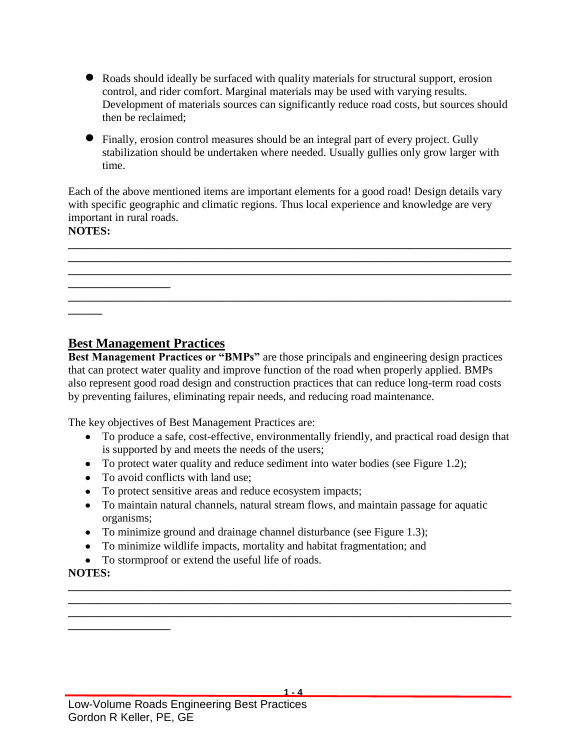- Roads should ideally be surfaced with quality materials for structural support, erosion control, and rider comfort. Marginal materials may be used with varying results. Development of materials sources can significantly reduce road costs, but sources should then be reclaimed;
- Finally, erosion control measures should be an integral part of every project. Gully stabilization should be undertaken where needed. Usually gullies only grow larger with time.

Each of the above mentioned items are important elements for a good road! Design details vary with specific geographic and climatic regions. Thus local experience and knowledge are very important in rural roads.

**\_\_\_\_\_\_\_\_\_\_\_\_\_\_\_\_\_\_\_\_\_\_\_\_\_\_\_\_\_\_\_\_\_\_\_\_\_\_\_\_\_\_\_\_\_\_\_\_\_\_\_\_\_\_\_\_\_\_\_\_\_\_\_\_\_\_\_\_\_\_\_\_\_\_\_\_\_\_ \_\_\_\_\_\_\_\_\_\_\_\_\_\_\_\_\_\_\_\_\_\_\_\_\_\_\_\_\_\_\_\_\_\_\_\_\_\_\_\_\_\_\_\_\_\_\_\_\_\_\_\_\_\_\_\_\_\_\_\_\_\_\_\_\_\_\_\_\_\_\_\_\_\_\_\_\_\_ \_\_\_\_\_\_\_\_\_\_\_\_\_\_\_\_\_\_\_\_\_\_\_\_\_\_\_\_\_\_\_\_\_\_\_\_\_\_\_\_\_\_\_\_\_\_\_\_\_\_\_\_\_\_\_\_\_\_\_\_\_\_\_\_\_\_\_\_\_\_\_\_\_\_\_\_\_\_**

**\_\_\_\_\_\_\_\_\_\_\_\_\_\_\_\_\_\_\_\_\_\_\_\_\_\_\_\_\_\_\_\_\_\_\_\_\_\_\_\_\_\_\_\_\_\_\_\_\_\_\_\_\_\_\_\_\_\_\_\_\_\_\_\_\_\_\_\_\_\_\_\_\_\_\_\_\_\_**

### **NOTES:**

**\_\_\_\_\_\_**

**\_\_\_\_\_\_\_\_\_\_\_\_\_\_\_\_\_\_**

### **Best Management Practices**

**Best Management Practices or "BMPs"** are those principals and engineering design practices that can protect water quality and improve function of the road when properly applied. BMPs also represent good road design and construction practices that can reduce long-term road costs by preventing failures, eliminating repair needs, and reducing road maintenance.

The key objectives of Best Management Practices are:

- To produce a safe, cost-effective, environmentally friendly, and practical road design that is supported by and meets the needs of the users;
- To protect water quality and reduce sediment into water bodies (see Figure 1.2);
- To avoid conflicts with land use;
- To protect sensitive areas and reduce ecosystem impacts;
- To maintain natural channels, natural stream flows, and maintain passage for aquatic organisms;

**\_\_\_\_\_\_\_\_\_\_\_\_\_\_\_\_\_\_\_\_\_\_\_\_\_\_\_\_\_\_\_\_\_\_\_\_\_\_\_\_\_\_\_\_\_\_\_\_\_\_\_\_\_\_\_\_\_\_\_\_\_\_\_\_\_\_\_\_\_\_\_\_\_\_\_\_\_\_ \_\_\_\_\_\_\_\_\_\_\_\_\_\_\_\_\_\_\_\_\_\_\_\_\_\_\_\_\_\_\_\_\_\_\_\_\_\_\_\_\_\_\_\_\_\_\_\_\_\_\_\_\_\_\_\_\_\_\_\_\_\_\_\_\_\_\_\_\_\_\_\_\_\_\_\_\_\_ \_\_\_\_\_\_\_\_\_\_\_\_\_\_\_\_\_\_\_\_\_\_\_\_\_\_\_\_\_\_\_\_\_\_\_\_\_\_\_\_\_\_\_\_\_\_\_\_\_\_\_\_\_\_\_\_\_\_\_\_\_\_\_\_\_\_\_\_\_\_\_\_\_\_\_\_\_\_**

- To minimize ground and drainage channel disturbance (see Figure 1.3);
- To minimize wildlife impacts, mortality and habitat fragmentation; and
- To stormproof or extend the useful life of roads.

### **NOTES:**

**\_\_\_\_\_\_\_\_\_\_\_\_\_\_\_\_\_\_**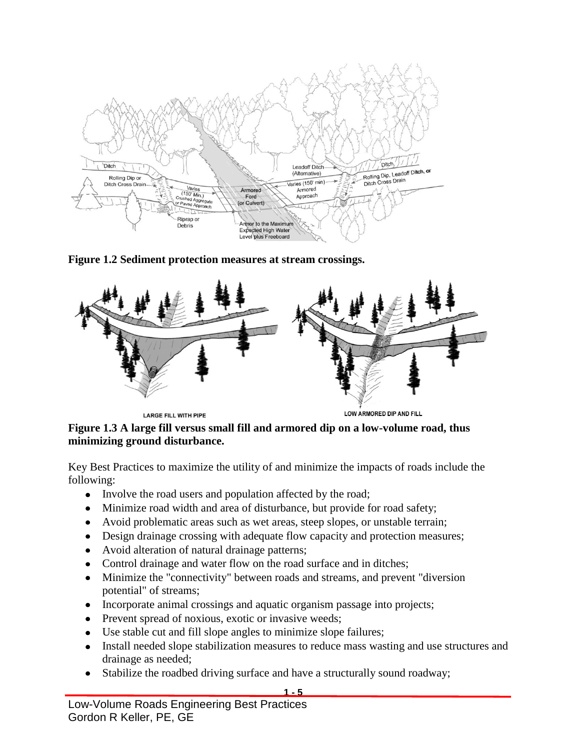

**Figure 1.2 Sediment protection measures at stream crossings.**



**LARGE FILL WITH PIPE** 

LOW ARMORED DIP AND FILL

#### **Figure 1.3 A large fill versus small fill and armored dip on a low-volume road, thus minimizing ground disturbance.**

Key Best Practices to maximize the utility of and minimize the impacts of roads include the following:

- Involve the road users and population affected by the road;
- Minimize road width and area of disturbance, but provide for road safety;
- Avoid problematic areas such as wet areas, steep slopes, or unstable terrain;
- Design drainage crossing with adequate flow capacity and protection measures;
- Avoid alteration of natural drainage patterns;
- Control drainage and water flow on the road surface and in ditches;
- Minimize the "connectivity" between roads and streams, and prevent "diversion  $\bullet$ potential" of streams;
- Incorporate animal crossings and aquatic organism passage into projects;
- Prevent spread of noxious, exotic or invasive weeds;
- Use stable cut and fill slope angles to minimize slope failures;
- Install needed slope stabilization measures to reduce mass wasting and use structures and drainage as needed;
- Stabilize the roadbed driving surface and have a structurally sound roadway;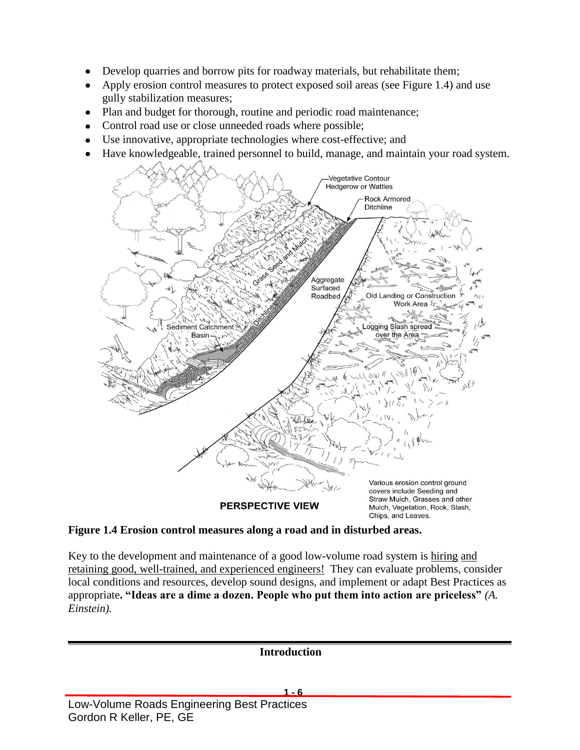- Develop quarries and borrow pits for roadway materials, but rehabilitate them;
- Apply erosion control measures to protect exposed soil areas (see Figure 1.4) and use gully stabilization measures;
- Plan and budget for thorough, routine and periodic road maintenance;
- Control road use or close unneeded roads where possible;
- Use innovative, appropriate technologies where cost-effective; and
- Have knowledgeable, trained personnel to build, manage, and maintain your road system.



#### **Figure 1.4 Erosion control measures along a road and in disturbed areas.**

Key to the development and maintenance of a good low-volume road system is hiring and retaining good, well-trained, and experienced engineers! They can evaluate problems, consider local conditions and resources, develop sound designs, and implement or adapt Best Practices as appropriate**. "Ideas are a dime a dozen. People who put them into action are priceless"** *(A. Einstein).*

Low-Volume Roads Engineering Best Practices **1 - 6 Introduction**